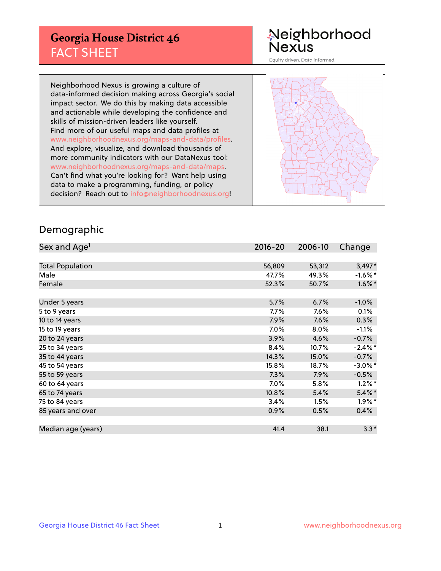## **Georgia House District 46** FACT SHEET

# Neighborhood<br>Nexus

Equity driven. Data informed.

Neighborhood Nexus is growing a culture of data-informed decision making across Georgia's social impact sector. We do this by making data accessible and actionable while developing the confidence and skills of mission-driven leaders like yourself. Find more of our useful maps and data profiles at www.neighborhoodnexus.org/maps-and-data/profiles. And explore, visualize, and download thousands of more community indicators with our DataNexus tool: www.neighborhoodnexus.org/maps-and-data/maps. Can't find what you're looking for? Want help using data to make a programming, funding, or policy decision? Reach out to [info@neighborhoodnexus.org!](mailto:info@neighborhoodnexus.org)



### Demographic

| Sex and Age <sup>1</sup> | $2016 - 20$ | 2006-10 | Change     |
|--------------------------|-------------|---------|------------|
|                          |             |         |            |
| <b>Total Population</b>  | 56,809      | 53,312  | $3,497*$   |
| Male                     | 47.7%       | 49.3%   | $-1.6\%$ * |
| Female                   | 52.3%       | 50.7%   | $1.6\%$ *  |
|                          |             |         |            |
| Under 5 years            | 5.7%        | 6.7%    | $-1.0%$    |
| 5 to 9 years             | $7.7\%$     | 7.6%    | 0.1%       |
| 10 to 14 years           | 7.9%        | 7.6%    | 0.3%       |
| 15 to 19 years           | 7.0%        | 8.0%    | $-1.1%$    |
| 20 to 24 years           | 3.9%        | 4.6%    | $-0.7%$    |
| 25 to 34 years           | 8.4%        | 10.7%   | $-2.4\%$ * |
| 35 to 44 years           | 14.3%       | 15.0%   | $-0.7%$    |
| 45 to 54 years           | 15.8%       | 18.7%   | $-3.0\%$ * |
| 55 to 59 years           | 7.3%        | 7.9%    | $-0.5%$    |
| 60 to 64 years           | 7.0%        | 5.8%    | $1.2\%$ *  |
| 65 to 74 years           | 10.8%       | 5.4%    | $5.4\%$ *  |
| 75 to 84 years           | 3.4%        | 1.5%    | $1.9\%$ *  |
| 85 years and over        | 0.9%        | 0.5%    | 0.4%       |
|                          |             |         |            |
| Median age (years)       | 41.4        | 38.1    | $3.3*$     |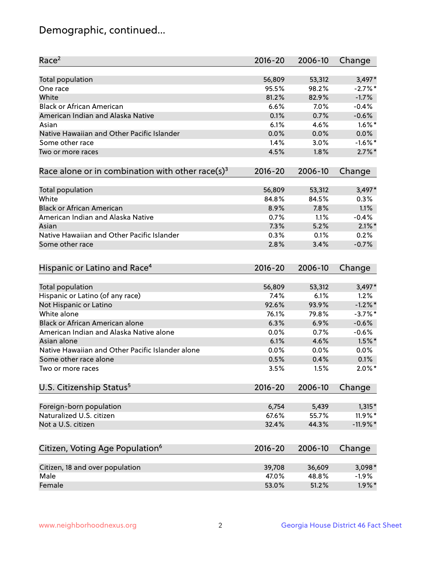## Demographic, continued...

| Race <sup>2</sup>                                            | $2016 - 20$ | 2006-10 | Change       |
|--------------------------------------------------------------|-------------|---------|--------------|
| <b>Total population</b>                                      | 56,809      | 53,312  | $3,497*$     |
| One race                                                     | 95.5%       | 98.2%   | $-2.7%$ *    |
| White                                                        | 81.2%       | 82.9%   | $-1.7%$      |
| <b>Black or African American</b>                             | 6.6%        | 7.0%    | $-0.4%$      |
| American Indian and Alaska Native                            | 0.1%        | 0.7%    | $-0.6%$      |
| Asian                                                        | 6.1%        | 4.6%    | $1.6\%$ *    |
| Native Hawaiian and Other Pacific Islander                   | 0.0%        | 0.0%    | 0.0%         |
| Some other race                                              | 1.4%        | 3.0%    | $-1.6\%$ *   |
| Two or more races                                            | 4.5%        | 1.8%    | $2.7\%$ *    |
| Race alone or in combination with other race(s) <sup>3</sup> | $2016 - 20$ | 2006-10 | Change       |
|                                                              |             |         |              |
| Total population                                             | 56,809      | 53,312  | $3,497*$     |
| White                                                        | 84.8%       | 84.5%   | 0.3%         |
| <b>Black or African American</b>                             | 8.9%        | 7.8%    | 1.1%         |
| American Indian and Alaska Native                            | 0.7%        | 1.1%    | $-0.4%$      |
| Asian                                                        | 7.3%        | 5.2%    | $2.1\%$ *    |
| Native Hawaiian and Other Pacific Islander                   | 0.3%        | 0.1%    | 0.2%         |
| Some other race                                              | 2.8%        | 3.4%    | $-0.7%$      |
| Hispanic or Latino and Race <sup>4</sup>                     | $2016 - 20$ | 2006-10 | Change       |
| <b>Total population</b>                                      | 56,809      | 53,312  | $3,497*$     |
| Hispanic or Latino (of any race)                             | 7.4%        | 6.1%    | 1.2%         |
| Not Hispanic or Latino                                       | 92.6%       | 93.9%   | $-1.2\%$ *   |
| White alone                                                  | 76.1%       | 79.8%   | $-3.7\%$ *   |
| <b>Black or African American alone</b>                       | 6.3%        | 6.9%    | $-0.6%$      |
| American Indian and Alaska Native alone                      | 0.0%        | 0.7%    | $-0.6%$      |
| Asian alone                                                  | 6.1%        | 4.6%    | $1.5\%$ *    |
| Native Hawaiian and Other Pacific Islander alone             |             |         |              |
|                                                              | 0.0%        | 0.0%    | 0.0%<br>0.1% |
| Some other race alone                                        | 0.5%        | 0.4%    |              |
| Two or more races                                            | 3.5%        | 1.5%    | $2.0\%$ *    |
| U.S. Citizenship Status <sup>5</sup>                         | $2016 - 20$ | 2006-10 | Change       |
| Foreign-born population                                      | 6,754       | 5,439   | $1,315*$     |
| Naturalized U.S. citizen                                     | 67.6%       | 55.7%   | 11.9%*       |
| Not a U.S. citizen                                           | 32.4%       | 44.3%   | $-11.9%$ *   |
|                                                              |             |         |              |
| Citizen, Voting Age Population <sup>6</sup>                  | $2016 - 20$ | 2006-10 | Change       |
| Citizen, 18 and over population                              | 39,708      | 36,609  | $3,098*$     |
| Male                                                         | 47.0%       | 48.8%   | $-1.9%$      |
| Female                                                       | 53.0%       | 51.2%   | $1.9\%$ *    |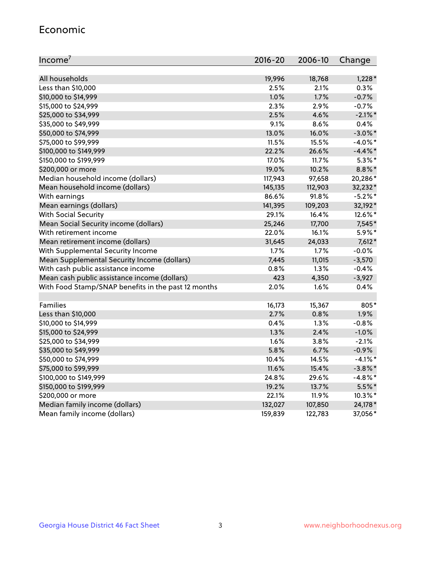#### Economic

| Income <sup>7</sup>                                 | $2016 - 20$ | 2006-10 | Change     |
|-----------------------------------------------------|-------------|---------|------------|
|                                                     |             |         |            |
| All households                                      | 19,996      | 18,768  | $1,228*$   |
| Less than \$10,000                                  | 2.5%        | 2.1%    | 0.3%       |
| \$10,000 to \$14,999                                | 1.0%        | 1.7%    | $-0.7%$    |
| \$15,000 to \$24,999                                | 2.3%        | 2.9%    | $-0.7%$    |
| \$25,000 to \$34,999                                | 2.5%        | 4.6%    | $-2.1\%$ * |
| \$35,000 to \$49,999                                | 9.1%        | 8.6%    | 0.4%       |
| \$50,000 to \$74,999                                | 13.0%       | 16.0%   | $-3.0\%$ * |
| \$75,000 to \$99,999                                | 11.5%       | 15.5%   | $-4.0\%$ * |
| \$100,000 to \$149,999                              | 22.2%       | 26.6%   | $-4.4\%$ * |
| \$150,000 to \$199,999                              | 17.0%       | 11.7%   | $5.3\%$ *  |
| \$200,000 or more                                   | 19.0%       | 10.2%   | $8.8\%$ *  |
| Median household income (dollars)                   | 117,943     | 97,658  | 20,286*    |
| Mean household income (dollars)                     | 145,135     | 112,903 | 32,232*    |
| With earnings                                       | 86.6%       | 91.8%   | $-5.2%$ *  |
| Mean earnings (dollars)                             | 141,395     | 109,203 | 32,192*    |
| <b>With Social Security</b>                         | 29.1%       | 16.4%   | 12.6%*     |
| Mean Social Security income (dollars)               | 25,246      | 17,700  | 7,545*     |
| With retirement income                              | 22.0%       | 16.1%   | $5.9\%$ *  |
| Mean retirement income (dollars)                    | 31,645      | 24,033  | $7,612*$   |
| With Supplemental Security Income                   | $1.7\%$     | 1.7%    | $-0.0%$    |
| Mean Supplemental Security Income (dollars)         | 7,445       | 11,015  | $-3,570$   |
| With cash public assistance income                  | 0.8%        | 1.3%    | $-0.4%$    |
| Mean cash public assistance income (dollars)        | 423         | 4,350   | $-3,927$   |
| With Food Stamp/SNAP benefits in the past 12 months | 2.0%        | 1.6%    | 0.4%       |
|                                                     |             |         |            |
| Families                                            | 16,173      | 15,367  | 805*       |
| Less than \$10,000                                  | 2.7%        | 0.8%    | 1.9%       |
| \$10,000 to \$14,999                                | 0.4%        | 1.3%    | $-0.8%$    |
| \$15,000 to \$24,999                                | 1.3%        | 2.4%    | $-1.0%$    |
| \$25,000 to \$34,999                                | 1.6%        | 3.8%    | $-2.1%$    |
| \$35,000 to \$49,999                                | 5.8%        | 6.7%    | $-0.9%$    |
| \$50,000 to \$74,999                                | 10.4%       | 14.5%   | $-4.1\%$ * |
| \$75,000 to \$99,999                                | 11.6%       | 15.4%   | $-3.8\%$ * |
| \$100,000 to \$149,999                              | 24.8%       | 29.6%   | $-4.8\%$ * |
| \$150,000 to \$199,999                              | 19.2%       | 13.7%   | 5.5%*      |
| \$200,000 or more                                   | 22.1%       | 11.9%   | 10.3%*     |
| Median family income (dollars)                      | 132,027     | 107,850 | 24,178*    |
| Mean family income (dollars)                        | 159,839     | 122,783 | 37,056*    |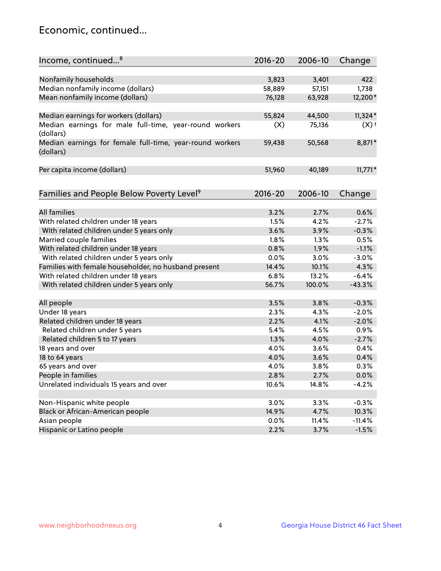## Economic, continued...

| Income, continued <sup>8</sup>                                        | $2016 - 20$ | 2006-10 | Change             |
|-----------------------------------------------------------------------|-------------|---------|--------------------|
|                                                                       |             |         |                    |
| Nonfamily households                                                  | 3,823       | 3,401   | 422                |
| Median nonfamily income (dollars)                                     | 58,889      | 57,151  | 1,738              |
| Mean nonfamily income (dollars)                                       | 76,128      | 63,928  | 12,200*            |
| Median earnings for workers (dollars)                                 | 55,824      | 44,500  | $11,324*$          |
| Median earnings for male full-time, year-round workers                | (X)         | 75,136  | $(X)$ <sup>+</sup> |
| (dollars)                                                             |             |         |                    |
| Median earnings for female full-time, year-round workers<br>(dollars) | 59,438      | 50,568  | 8,871*             |
| Per capita income (dollars)                                           | 51,960      | 40,189  | $11,771*$          |
|                                                                       |             |         |                    |
| Families and People Below Poverty Level <sup>9</sup>                  | 2016-20     | 2006-10 | Change             |
|                                                                       |             |         |                    |
| <b>All families</b>                                                   | 3.2%        | 2.7%    | 0.6%               |
| With related children under 18 years                                  | 1.5%        | 4.2%    | $-2.7%$            |
| With related children under 5 years only                              | 3.6%        | 3.9%    | $-0.3%$            |
| Married couple families                                               | 1.8%        | 1.3%    | 0.5%               |
| With related children under 18 years                                  | 0.8%        | 1.9%    | $-1.1%$            |
| With related children under 5 years only                              | 0.0%        | 3.0%    | $-3.0%$            |
| Families with female householder, no husband present                  | 14.4%       | 10.1%   | 4.3%               |
| With related children under 18 years                                  | 6.8%        | 13.2%   | $-6.4%$            |
| With related children under 5 years only                              | 56.7%       | 100.0%  | $-43.3%$           |
| All people                                                            | 3.5%        | 3.8%    | $-0.3%$            |
| Under 18 years                                                        | 2.3%        | 4.3%    | $-2.0%$            |
| Related children under 18 years                                       | 2.2%        | 4.1%    | $-2.0%$            |
| Related children under 5 years                                        | 5.4%        | 4.5%    | 0.9%               |
| Related children 5 to 17 years                                        | 1.3%        | 4.0%    | $-2.7%$            |
| 18 years and over                                                     | 4.0%        | 3.6%    | 0.4%               |
| 18 to 64 years                                                        | 4.0%        | 3.6%    | 0.4%               |
| 65 years and over                                                     | 4.0%        | 3.8%    | 0.3%               |
| People in families                                                    | 2.8%        | 2.7%    | 0.0%               |
| Unrelated individuals 15 years and over                               | 10.6%       | 14.8%   | $-4.2%$            |
|                                                                       |             |         |                    |
| Non-Hispanic white people                                             | 3.0%        | 3.3%    | $-0.3%$            |
| Black or African-American people                                      | 14.9%       | 4.7%    | 10.3%              |
| Asian people                                                          | $0.0\%$     | 11.4%   | $-11.4%$           |
| Hispanic or Latino people                                             | 2.2%        | 3.7%    | $-1.5%$            |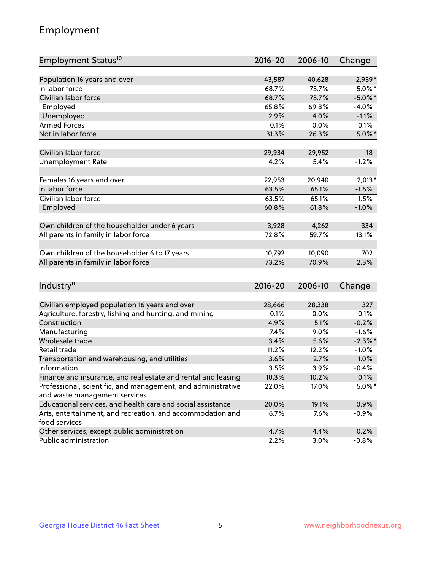## Employment

| Employment Status <sup>10</sup>                                             | $2016 - 20$ | 2006-10 | Change     |
|-----------------------------------------------------------------------------|-------------|---------|------------|
|                                                                             |             |         |            |
| Population 16 years and over                                                | 43,587      | 40,628  | 2,959*     |
| In labor force                                                              | 68.7%       | 73.7%   | $-5.0\%$ * |
| Civilian labor force                                                        | 68.7%       | 73.7%   | $-5.0\%$ * |
| Employed                                                                    | 65.8%       | 69.8%   | $-4.0%$    |
| Unemployed                                                                  | 2.9%        | 4.0%    | $-1.1%$    |
| <b>Armed Forces</b>                                                         | 0.1%        | 0.0%    | 0.1%       |
| Not in labor force                                                          | 31.3%       | 26.3%   | $5.0\%$ *  |
| Civilian labor force                                                        | 29,934      | 29,952  | $-18$      |
| <b>Unemployment Rate</b>                                                    | 4.2%        | 5.4%    | $-1.2%$    |
|                                                                             |             |         |            |
| Females 16 years and over                                                   | 22,953      | 20,940  | $2,013*$   |
| In labor force                                                              | 63.5%       | 65.1%   | $-1.5%$    |
| Civilian labor force                                                        | 63.5%       | 65.1%   | $-1.5%$    |
| Employed                                                                    | 60.8%       | 61.8%   | $-1.0%$    |
| Own children of the householder under 6 years                               | 3,928       | 4,262   | $-334$     |
| All parents in family in labor force                                        | 72.8%       | 59.7%   | 13.1%      |
|                                                                             |             |         |            |
| Own children of the householder 6 to 17 years                               | 10,792      | 10,090  | 702        |
| All parents in family in labor force                                        | 73.2%       | 70.9%   | 2.3%       |
|                                                                             |             |         |            |
| Industry <sup>11</sup>                                                      | $2016 - 20$ | 2006-10 | Change     |
|                                                                             |             |         |            |
| Civilian employed population 16 years and over                              | 28,666      | 28,338  | 327        |
| Agriculture, forestry, fishing and hunting, and mining                      | 0.1%        | 0.0%    | 0.1%       |
| Construction                                                                | 4.9%        | 5.1%    | $-0.2%$    |
| Manufacturing                                                               | 7.4%        | 9.0%    | $-1.6%$    |
| Wholesale trade                                                             | 3.4%        | 5.6%    | $-2.3\%$ * |
| Retail trade                                                                | 11.2%       | 12.2%   | $-1.0%$    |
| Transportation and warehousing, and utilities                               | 3.6%        | 2.7%    | 1.0%       |
| Information                                                                 | 3.5%        | 3.9%    | $-0.4%$    |
| Finance and insurance, and real estate and rental and leasing               | 10.3%       | 10.2%   | 0.1%       |
| Professional, scientific, and management, and administrative                | 22.0%       | 17.0%   | $5.0\%$ *  |
| and waste management services                                               |             |         |            |
| Educational services, and health care and social assistance                 | 20.0%       | 19.1%   | 0.9%       |
| Arts, entertainment, and recreation, and accommodation and<br>food services | 6.7%        | 7.6%    | $-0.9%$    |
| Other services, except public administration                                | 4.7%        | 4.4%    | 0.2%       |
| Public administration                                                       | 2.2%        | 3.0%    | $-0.8%$    |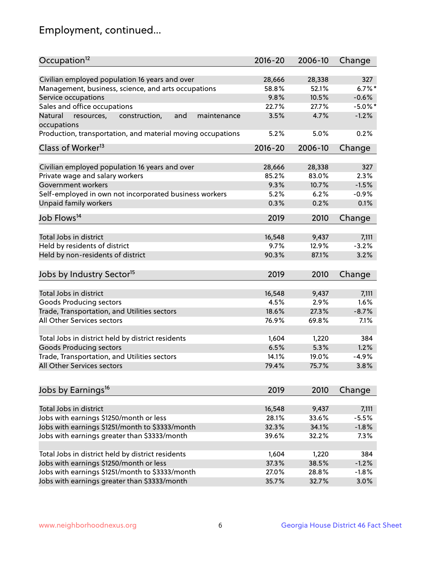## Employment, continued...

| Occupation <sup>12</sup>                                                    | $2016 - 20$ | 2006-10 | Change     |
|-----------------------------------------------------------------------------|-------------|---------|------------|
| Civilian employed population 16 years and over                              | 28,666      | 28,338  | 327        |
| Management, business, science, and arts occupations                         | 58.8%       | 52.1%   | $6.7%$ *   |
| Service occupations                                                         | 9.8%        | 10.5%   | $-0.6%$    |
| Sales and office occupations                                                | 22.7%       | 27.7%   | $-5.0\%$ * |
|                                                                             |             |         |            |
| and<br>Natural<br>resources,<br>construction,<br>maintenance<br>occupations | 3.5%        | 4.7%    | $-1.2%$    |
| Production, transportation, and material moving occupations                 | 5.2%        | 5.0%    | 0.2%       |
| Class of Worker <sup>13</sup>                                               | $2016 - 20$ | 2006-10 | Change     |
|                                                                             |             |         | 327        |
| Civilian employed population 16 years and over                              | 28,666      | 28,338  |            |
| Private wage and salary workers                                             | 85.2%       | 83.0%   | 2.3%       |
| Government workers                                                          | 9.3%        | 10.7%   | $-1.5%$    |
| Self-employed in own not incorporated business workers                      | 5.2%        | 6.2%    | $-0.9%$    |
| <b>Unpaid family workers</b>                                                | 0.3%        | 0.2%    | 0.1%       |
| Job Flows <sup>14</sup>                                                     | 2019        | 2010    | Change     |
|                                                                             |             |         |            |
| Total Jobs in district                                                      | 16,548      | 9,437   | 7,111      |
| Held by residents of district                                               | 9.7%        | 12.9%   | $-3.2%$    |
| Held by non-residents of district                                           | 90.3%       | 87.1%   | 3.2%       |
| Jobs by Industry Sector <sup>15</sup>                                       | 2019        | 2010    | Change     |
|                                                                             |             |         |            |
| Total Jobs in district                                                      | 16,548      | 9,437   | 7,111      |
| Goods Producing sectors                                                     | 4.5%        | 2.9%    | 1.6%       |
| Trade, Transportation, and Utilities sectors                                | 18.6%       | 27.3%   | $-8.7%$    |
| All Other Services sectors                                                  | 76.9%       | 69.8%   | 7.1%       |
| Total Jobs in district held by district residents                           | 1,604       | 1,220   | 384        |
| <b>Goods Producing sectors</b>                                              | 6.5%        | 5.3%    | 1.2%       |
| Trade, Transportation, and Utilities sectors                                | 14.1%       | 19.0%   | $-4.9%$    |
| All Other Services sectors                                                  | 79.4%       | 75.7%   | 3.8%       |
|                                                                             |             |         |            |
| Jobs by Earnings <sup>16</sup>                                              | 2019        | 2010    | Change     |
|                                                                             |             |         |            |
| Total Jobs in district                                                      | 16,548      | 9,437   | 7,111      |
| Jobs with earnings \$1250/month or less                                     | 28.1%       | 33.6%   | $-5.5%$    |
| Jobs with earnings \$1251/month to \$3333/month                             | 32.3%       | 34.1%   | $-1.8%$    |
| Jobs with earnings greater than \$3333/month                                | 39.6%       | 32.2%   | 7.3%       |
| Total Jobs in district held by district residents                           | 1,604       | 1,220   | 384        |
| Jobs with earnings \$1250/month or less                                     | 37.3%       | 38.5%   | $-1.2%$    |
| Jobs with earnings \$1251/month to \$3333/month                             | 27.0%       | 28.8%   | $-1.8%$    |
| Jobs with earnings greater than \$3333/month                                | 35.7%       | 32.7%   | 3.0%       |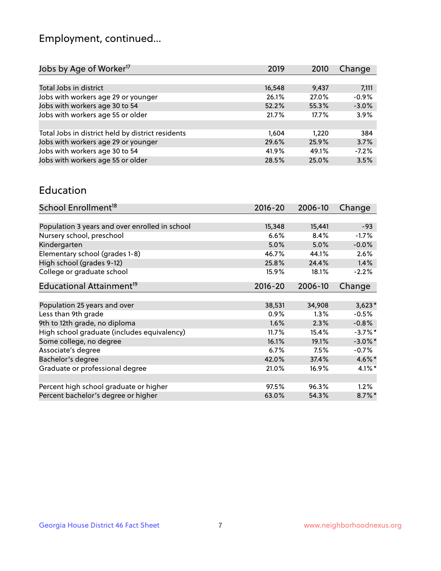## Employment, continued...

| Jobs by Age of Worker <sup>17</sup>               | 2019   | 2010  | Change  |
|---------------------------------------------------|--------|-------|---------|
|                                                   |        |       |         |
| Total Jobs in district                            | 16,548 | 9,437 | 7,111   |
| Jobs with workers age 29 or younger               | 26.1%  | 27.0% | $-0.9%$ |
| Jobs with workers age 30 to 54                    | 52.2%  | 55.3% | $-3.0%$ |
| Jobs with workers age 55 or older                 | 21.7%  | 17.7% | 3.9%    |
|                                                   |        |       |         |
| Total Jobs in district held by district residents | 1,604  | 1.220 | 384     |
| Jobs with workers age 29 or younger               | 29.6%  | 25.9% | 3.7%    |
| Jobs with workers age 30 to 54                    | 41.9%  | 49.1% | $-7.2%$ |
| Jobs with workers age 55 or older                 | 28.5%  | 25.0% | 3.5%    |
|                                                   |        |       |         |

#### Education

| School Enrollment <sup>18</sup>                | $2016 - 20$ | 2006-10 | Change     |
|------------------------------------------------|-------------|---------|------------|
|                                                |             |         |            |
| Population 3 years and over enrolled in school | 15,348      | 15,441  | $-93$      |
| Nursery school, preschool                      | 6.6%        | 8.4%    | $-1.7%$    |
| Kindergarten                                   | 5.0%        | 5.0%    | $-0.0%$    |
| Elementary school (grades 1-8)                 | 46.7%       | 44.1%   | 2.6%       |
| High school (grades 9-12)                      | 25.8%       | 24.4%   | 1.4%       |
| College or graduate school                     | 15.9%       | 18.1%   | $-2.2%$    |
| Educational Attainment <sup>19</sup>           | $2016 - 20$ | 2006-10 | Change     |
|                                                |             |         |            |
| Population 25 years and over                   | 38,531      | 34,908  | $3,623*$   |
| Less than 9th grade                            | $0.9\%$     | $1.3\%$ | $-0.5%$    |
| 9th to 12th grade, no diploma                  | 1.6%        | 2.3%    | $-0.8%$    |
| High school graduate (includes equivalency)    | 11.7%       | 15.4%   | $-3.7\%$ * |
| Some college, no degree                        | 16.1%       | 19.1%   | $-3.0\%$ * |
| Associate's degree                             | 6.7%        | 7.5%    | $-0.7%$    |
| Bachelor's degree                              | 42.0%       | 37.4%   | 4.6%*      |
| Graduate or professional degree                | 21.0%       | 16.9%   | $4.1\%$ *  |
|                                                |             |         |            |
| Percent high school graduate or higher         | 97.5%       | 96.3%   | 1.2%       |
| Percent bachelor's degree or higher            | 63.0%       | 54.3%   | $8.7\%$ *  |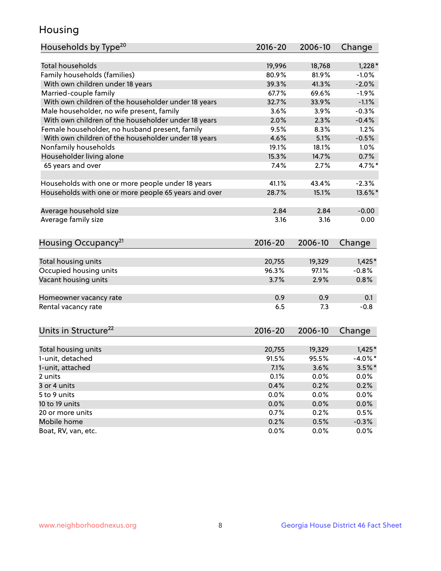## Housing

| Households by Type <sup>20</sup>                     | 2016-20     | 2006-10 | Change     |
|------------------------------------------------------|-------------|---------|------------|
|                                                      |             |         |            |
| <b>Total households</b>                              | 19,996      | 18,768  | $1,228*$   |
| Family households (families)                         | 80.9%       | 81.9%   | $-1.0%$    |
| With own children under 18 years                     | 39.3%       | 41.3%   | $-2.0%$    |
| Married-couple family                                | 67.7%       | 69.6%   | $-1.9%$    |
| With own children of the householder under 18 years  | 32.7%       | 33.9%   | $-1.1%$    |
| Male householder, no wife present, family            | 3.6%        | 3.9%    | $-0.3%$    |
| With own children of the householder under 18 years  | 2.0%        | 2.3%    | $-0.4%$    |
| Female householder, no husband present, family       | 9.5%        | 8.3%    | 1.2%       |
| With own children of the householder under 18 years  | 4.6%        | 5.1%    | $-0.5%$    |
| Nonfamily households                                 | 19.1%       | 18.1%   | 1.0%       |
| Householder living alone                             | 15.3%       | 14.7%   | 0.7%       |
| 65 years and over                                    | 7.4%        | 2.7%    | 4.7%*      |
|                                                      |             |         |            |
| Households with one or more people under 18 years    | 41.1%       | 43.4%   | $-2.3%$    |
| Households with one or more people 65 years and over | 28.7%       | 15.1%   | 13.6%*     |
|                                                      |             |         |            |
| Average household size                               | 2.84        | 2.84    | $-0.00$    |
| Average family size                                  | 3.16        | 3.16    | 0.00       |
|                                                      |             |         |            |
| Housing Occupancy <sup>21</sup>                      | $2016 - 20$ | 2006-10 | Change     |
|                                                      |             |         |            |
| Total housing units                                  | 20,755      | 19,329  | $1,425*$   |
| Occupied housing units                               | 96.3%       | 97.1%   | $-0.8%$    |
| Vacant housing units                                 | 3.7%        | 2.9%    | 0.8%       |
|                                                      |             |         |            |
| Homeowner vacancy rate                               | 0.9         | 0.9     | 0.1        |
| Rental vacancy rate                                  | 6.5         | 7.3     | $-0.8$     |
|                                                      |             |         |            |
| Units in Structure <sup>22</sup>                     | $2016 - 20$ | 2006-10 | Change     |
|                                                      |             |         |            |
| Total housing units                                  | 20,755      | 19,329  | $1,425*$   |
| 1-unit, detached                                     | 91.5%       | 95.5%   | $-4.0\%$ * |
| 1-unit, attached                                     | 7.1%        | 3.6%    | $3.5\%$ *  |
| 2 units                                              | 0.1%        | 0.0%    | 0.0%       |
| 3 or 4 units                                         | 0.4%        | 0.2%    | 0.2%       |
| 5 to 9 units                                         | $0.0\%$     | $0.0\%$ | 0.0%       |
| 10 to 19 units                                       | 0.0%        | 0.0%    | 0.0%       |
| 20 or more units                                     | 0.7%        | 0.2%    | 0.5%       |
| Mobile home                                          | 0.2%        | 0.5%    | $-0.3%$    |
| Boat, RV, van, etc.                                  | 0.0%        | 0.0%    | 0.0%       |
|                                                      |             |         |            |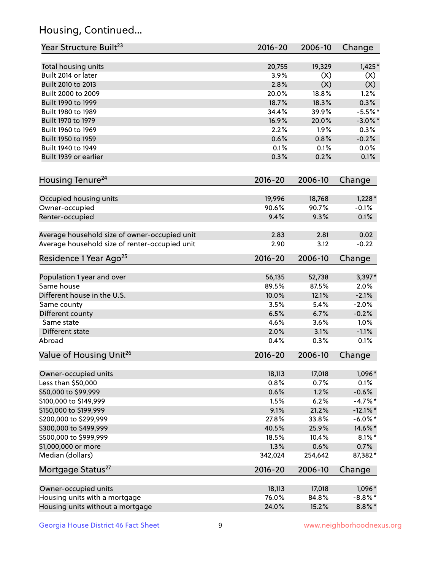## Housing, Continued...

| Year Structure Built <sup>23</sup>             | 2016-20     | 2006-10 | Change      |
|------------------------------------------------|-------------|---------|-------------|
| Total housing units                            | 20,755      | 19,329  | $1,425*$    |
| Built 2014 or later                            | 3.9%        | (X)     | (X)         |
| Built 2010 to 2013                             | 2.8%        | (X)     | (X)         |
| Built 2000 to 2009                             | 20.0%       | 18.8%   | 1.2%        |
| Built 1990 to 1999                             | 18.7%       | 18.3%   | 0.3%        |
| Built 1980 to 1989                             | 34.4%       | 39.9%   | $-5.5%$ *   |
| Built 1970 to 1979                             | 16.9%       | 20.0%   | $-3.0\%$ *  |
| Built 1960 to 1969                             | 2.2%        | 1.9%    | 0.3%        |
| Built 1950 to 1959                             | 0.6%        | 0.8%    | $-0.2%$     |
| Built 1940 to 1949                             | 0.1%        | 0.1%    | 0.0%        |
| Built 1939 or earlier                          | 0.3%        | 0.2%    | 0.1%        |
| Housing Tenure <sup>24</sup>                   | $2016 - 20$ | 2006-10 | Change      |
| Occupied housing units                         | 19,996      | 18,768  | $1,228*$    |
| Owner-occupied                                 | 90.6%       | 90.7%   | $-0.1%$     |
| Renter-occupied                                | 9.4%        | 9.3%    | 0.1%        |
| Average household size of owner-occupied unit  | 2.83        | 2.81    | 0.02        |
| Average household size of renter-occupied unit | 2.90        | 3.12    | $-0.22$     |
| Residence 1 Year Ago <sup>25</sup>             | $2016 - 20$ | 2006-10 | Change      |
| Population 1 year and over                     | 56,135      | 52,738  | $3,397*$    |
| Same house                                     | 89.5%       | 87.5%   | 2.0%        |
| Different house in the U.S.                    | 10.0%       | 12.1%   | $-2.1%$     |
| Same county                                    | 3.5%        | 5.4%    | $-2.0%$     |
| Different county                               | 6.5%        | 6.7%    | $-0.2%$     |
| Same state                                     | 4.6%        | 3.6%    | 1.0%        |
| Different state                                | 2.0%        | 3.1%    | $-1.1%$     |
| Abroad                                         | 0.4%        | 0.3%    | 0.1%        |
| Value of Housing Unit <sup>26</sup>            | $2016 - 20$ | 2006-10 | Change      |
| Owner-occupied units                           | 18,113      | 17,018  | 1,096*      |
| Less than \$50,000                             | 0.8%        | 0.7%    | 0.1%        |
| \$50,000 to \$99,999                           | 0.6%        | 1.2%    | $-0.6%$     |
| \$100,000 to \$149,999                         | 1.5%        | 6.2%    | $-4.7%$ *   |
| \$150,000 to \$199,999                         | 9.1%        | 21.2%   | $-12.1\%$ * |
| \$200,000 to \$299,999                         | 27.8%       | 33.8%   | $-6.0\%$ *  |
| \$300,000 to \$499,999                         | 40.5%       | 25.9%   | 14.6%*      |
| \$500,000 to \$999,999                         | 18.5%       | 10.4%   | $8.1\%$ *   |
| \$1,000,000 or more                            | 1.3%        | 0.6%    | 0.7%        |
| Median (dollars)                               | 342,024     | 254,642 | 87,382*     |
| Mortgage Status <sup>27</sup>                  | $2016 - 20$ | 2006-10 | Change      |
| Owner-occupied units                           | 18,113      | 17,018  | 1,096*      |
| Housing units with a mortgage                  | 76.0%       | 84.8%   | $-8.8\%$ *  |
| Housing units without a mortgage               | 24.0%       | 15.2%   | $8.8\%$ *   |
|                                                |             |         |             |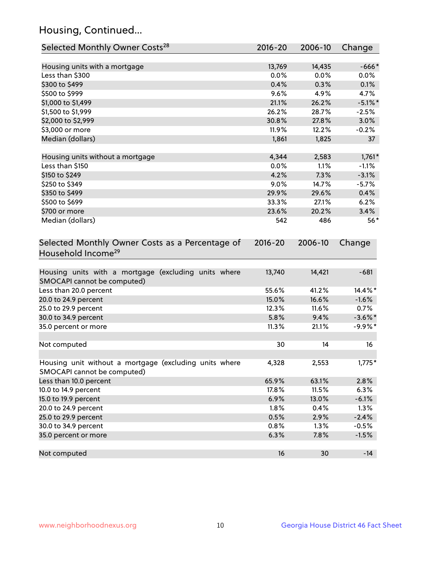## Housing, Continued...

| Selected Monthly Owner Costs <sup>28</sup>                                            | 2016-20     | 2006-10 | Change     |
|---------------------------------------------------------------------------------------|-------------|---------|------------|
| Housing units with a mortgage                                                         | 13,769      | 14,435  | $-666*$    |
| Less than \$300                                                                       | 0.0%        | 0.0%    | 0.0%       |
| \$300 to \$499                                                                        | 0.4%        | 0.3%    | 0.1%       |
| \$500 to \$999                                                                        | 9.6%        | 4.9%    | 4.7%       |
| \$1,000 to \$1,499                                                                    | 21.1%       | 26.2%   | $-5.1\%$ * |
| \$1,500 to \$1,999                                                                    | 26.2%       | 28.7%   | $-2.5%$    |
| \$2,000 to \$2,999                                                                    | 30.8%       | 27.8%   | 3.0%       |
| \$3,000 or more                                                                       | 11.9%       | 12.2%   | $-0.2%$    |
| Median (dollars)                                                                      | 1,861       | 1,825   | 37         |
| Housing units without a mortgage                                                      | 4,344       | 2,583   | $1,761*$   |
| Less than \$150                                                                       | 0.0%        | 1.1%    | $-1.1%$    |
| \$150 to \$249                                                                        | 4.2%        | 7.3%    | $-3.1%$    |
| \$250 to \$349                                                                        | 9.0%        | 14.7%   | $-5.7%$    |
| \$350 to \$499                                                                        | 29.9%       | 29.6%   | 0.4%       |
| \$500 to \$699                                                                        | 33.3%       | 27.1%   | 6.2%       |
| \$700 or more                                                                         | 23.6%       | 20.2%   | 3.4%       |
| Median (dollars)                                                                      | 542         | 486     | $56*$      |
| Selected Monthly Owner Costs as a Percentage of<br>Household Income <sup>29</sup>     | $2016 - 20$ | 2006-10 | Change     |
| Housing units with a mortgage (excluding units where<br>SMOCAPI cannot be computed)   | 13,740      | 14,421  | $-681$     |
| Less than 20.0 percent                                                                | 55.6%       | 41.2%   | 14.4%*     |
| 20.0 to 24.9 percent                                                                  | 15.0%       | 16.6%   | $-1.6%$    |
| 25.0 to 29.9 percent                                                                  | 12.3%       | 11.6%   | 0.7%       |
| 30.0 to 34.9 percent                                                                  | 5.8%        | 9.4%    | $-3.6\%$ * |
| 35.0 percent or more                                                                  | 11.3%       | 21.1%   | $-9.9%$ *  |
| Not computed                                                                          | 30          | 14      | 16         |
| Housing unit without a mortgage (excluding units where<br>SMOCAPI cannot be computed) | 4,328       | 2,553   | $1,775*$   |
| Less than 10.0 percent                                                                | 65.9%       | 63.1%   | 2.8%       |
| 10.0 to 14.9 percent                                                                  | 17.8%       | 11.5%   | 6.3%       |
| 15.0 to 19.9 percent                                                                  | 6.9%        | 13.0%   | $-6.1%$    |
| 20.0 to 24.9 percent                                                                  | 1.8%        | 0.4%    | 1.3%       |
| 25.0 to 29.9 percent                                                                  | 0.5%        | 2.9%    | $-2.4%$    |
| 30.0 to 34.9 percent                                                                  | 0.8%        | 1.3%    | $-0.5%$    |
| 35.0 percent or more                                                                  | 6.3%        | 7.8%    | $-1.5%$    |
| Not computed                                                                          | 16          | 30      | $-14$      |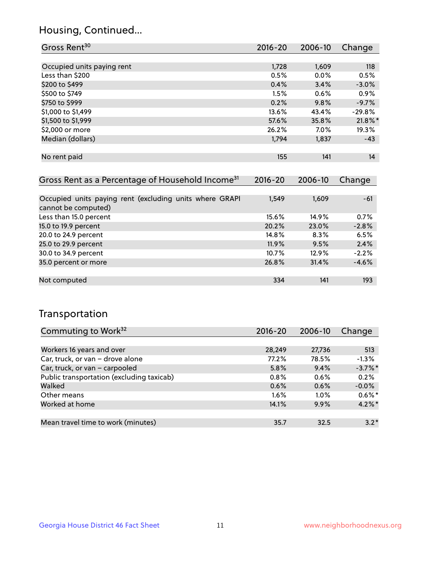## Housing, Continued...

| Gross Rent <sup>30</sup>   | 2016-20 | 2006-10 | Change     |
|----------------------------|---------|---------|------------|
|                            |         |         |            |
| Occupied units paying rent | 1,728   | 1,609   | 118        |
| Less than \$200            | 0.5%    | 0.0%    | 0.5%       |
| \$200 to \$499             | 0.4%    | 3.4%    | $-3.0%$    |
| \$500 to \$749             | 1.5%    | 0.6%    | 0.9%       |
| \$750 to \$999             | 0.2%    | 9.8%    | $-9.7%$    |
| \$1,000 to \$1,499         | 13.6%   | 43.4%   | $-29.8%$   |
| \$1,500 to \$1,999         | 57.6%   | 35.8%   | $21.8\%$ * |
| \$2,000 or more            | 26.2%   | $7.0\%$ | 19.3%      |
| Median (dollars)           | 1,794   | 1,837   | $-43$      |
|                            |         |         |            |
| No rent paid               | 155     | 141     | 14         |

| Gross Rent as a Percentage of Household Income <sup>31</sup>                   | $2016 - 20$ | 2006-10 | Change  |
|--------------------------------------------------------------------------------|-------------|---------|---------|
|                                                                                |             |         |         |
| Occupied units paying rent (excluding units where GRAPI<br>cannot be computed) | 1,549       | 1,609   | $-61$   |
| Less than 15.0 percent                                                         | 15.6%       | 14.9%   | 0.7%    |
| 15.0 to 19.9 percent                                                           | 20.2%       | 23.0%   | $-2.8%$ |
| 20.0 to 24.9 percent                                                           | 14.8%       | 8.3%    | 6.5%    |
| 25.0 to 29.9 percent                                                           | 11.9%       | 9.5%    | 2.4%    |
| 30.0 to 34.9 percent                                                           | 10.7%       | 12.9%   | $-2.2%$ |
| 35.0 percent or more                                                           | 26.8%       | 31.4%   | $-4.6%$ |
|                                                                                |             |         |         |
| Not computed                                                                   | 334         | 141     | 193     |

## Transportation

| Commuting to Work <sup>32</sup>           | 2016-20 | 2006-10 | Change     |
|-------------------------------------------|---------|---------|------------|
|                                           |         |         |            |
| Workers 16 years and over                 | 28,249  | 27,736  | 513        |
| Car, truck, or van - drove alone          | 77.2%   | 78.5%   | $-1.3%$    |
| Car, truck, or van - carpooled            | 5.8%    | 9.4%    | $-3.7\%$ * |
| Public transportation (excluding taxicab) | 0.8%    | 0.6%    | 0.2%       |
| Walked                                    | 0.6%    | 0.6%    | $-0.0%$    |
| Other means                               | $1.6\%$ | $1.0\%$ | $0.6\%$ *  |
| Worked at home                            | 14.1%   | 9.9%    | $4.2\%$ *  |
|                                           |         |         |            |
| Mean travel time to work (minutes)        | 35.7    | 32.5    | $3.2*$     |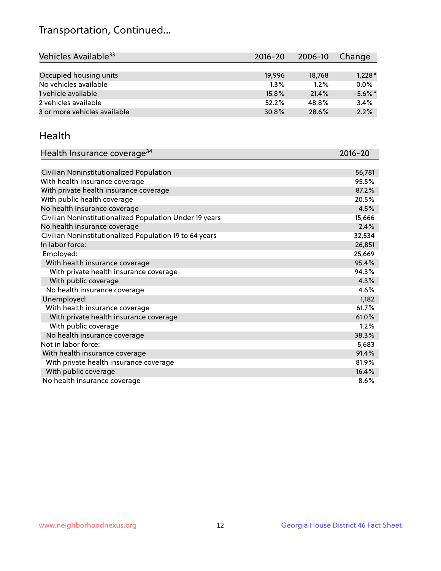## Transportation, Continued...

| Vehicles Available <sup>33</sup> | $2016 - 20$ | 2006-10 | Change     |
|----------------------------------|-------------|---------|------------|
|                                  |             |         |            |
| Occupied housing units           | 19.996      | 18,768  | $1,228*$   |
| No vehicles available            | $1.3\%$     | 1.2%    | 0.0%       |
| 1 vehicle available              | 15.8%       | 21.4%   | $-5.6\%$ * |
| 2 vehicles available             | 52.2%       | 48.8%   | 3.4%       |
| 3 or more vehicles available     | 30.8%       | 28.6%   | 2.2%       |

#### Health

| Health Insurance coverage <sup>34</sup>                 | 2016-20 |
|---------------------------------------------------------|---------|
|                                                         |         |
| Civilian Noninstitutionalized Population                | 56,781  |
| With health insurance coverage                          | 95.5%   |
| With private health insurance coverage                  | 87.2%   |
| With public health coverage                             | 20.5%   |
| No health insurance coverage                            | 4.5%    |
| Civilian Noninstitutionalized Population Under 19 years | 15,666  |
| No health insurance coverage                            | 2.4%    |
| Civilian Noninstitutionalized Population 19 to 64 years | 32,534  |
| In labor force:                                         | 26,851  |
| Employed:                                               | 25,669  |
| With health insurance coverage                          | 95.4%   |
| With private health insurance coverage                  | 94.3%   |
| With public coverage                                    | 4.3%    |
| No health insurance coverage                            | 4.6%    |
| Unemployed:                                             | 1,182   |
| With health insurance coverage                          | 61.7%   |
| With private health insurance coverage                  | 61.0%   |
| With public coverage                                    | 1.2%    |
| No health insurance coverage                            | 38.3%   |
| Not in labor force:                                     | 5,683   |
| With health insurance coverage                          | 91.4%   |
| With private health insurance coverage                  | 81.9%   |
| With public coverage                                    | 16.4%   |
| No health insurance coverage                            | 8.6%    |